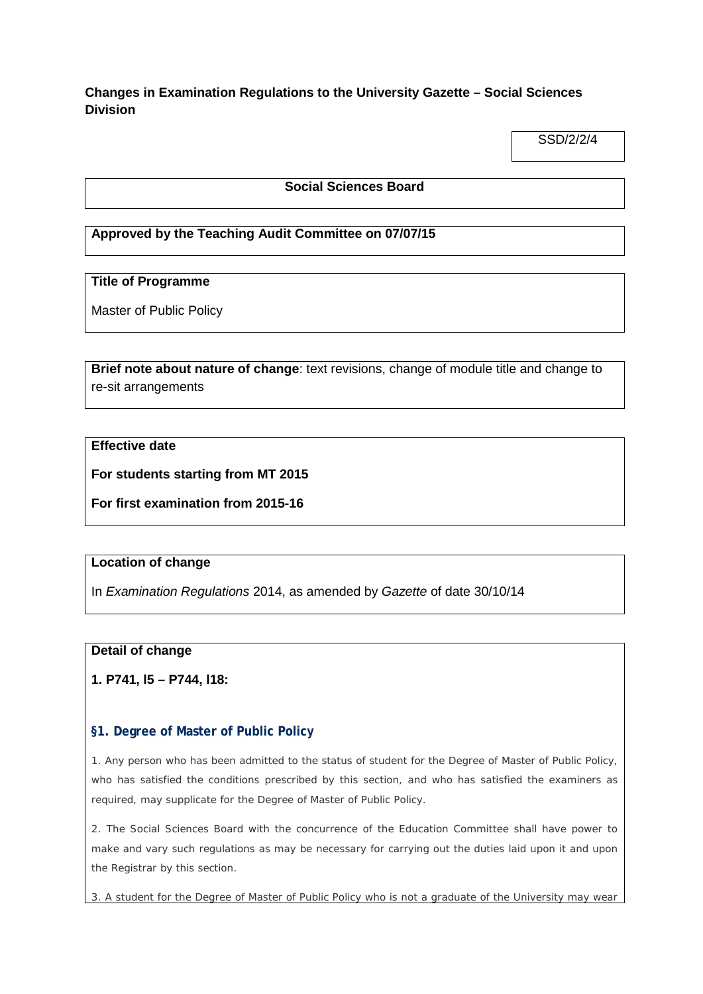# **Changes in Examination Regulations to the University Gazette – Social Sciences Division**

SSD/2/2/4

### **Social Sciences Board**

## **Approved by the Teaching Audit Committee on 07/07/15**

## **Title of Programme**

Master of Public Policy

**Brief note about nature of change**: text revisions, change of module title and change to re-sit arrangements

# **Effective date**

**For students starting from MT 2015**

**For first examination from 2015-16**

### **Location of change**

In *Examination Regulations* 2014, as amended by *Gazette* of date 30/10/14

### **Detail of change**

### **1. P741, l5 – P744, l18:**

### **§1. Degree of Master of Public Policy**

1. Any person who has been admitted to the status of student for the Degree of Master of Public Policy, who has satisfied the conditions prescribed by this section, and who has satisfied the examiners as required, may supplicate for the Degree of Master of Public Policy.

2. The Social Sciences Board with the concurrence of the Education Committee shall have power to make and vary such regulations as may be necessary for carrying out the duties laid upon it and upon the Registrar by this section.

3. A student for the Degree of Master of Public Policy who is not a graduate of the University may wear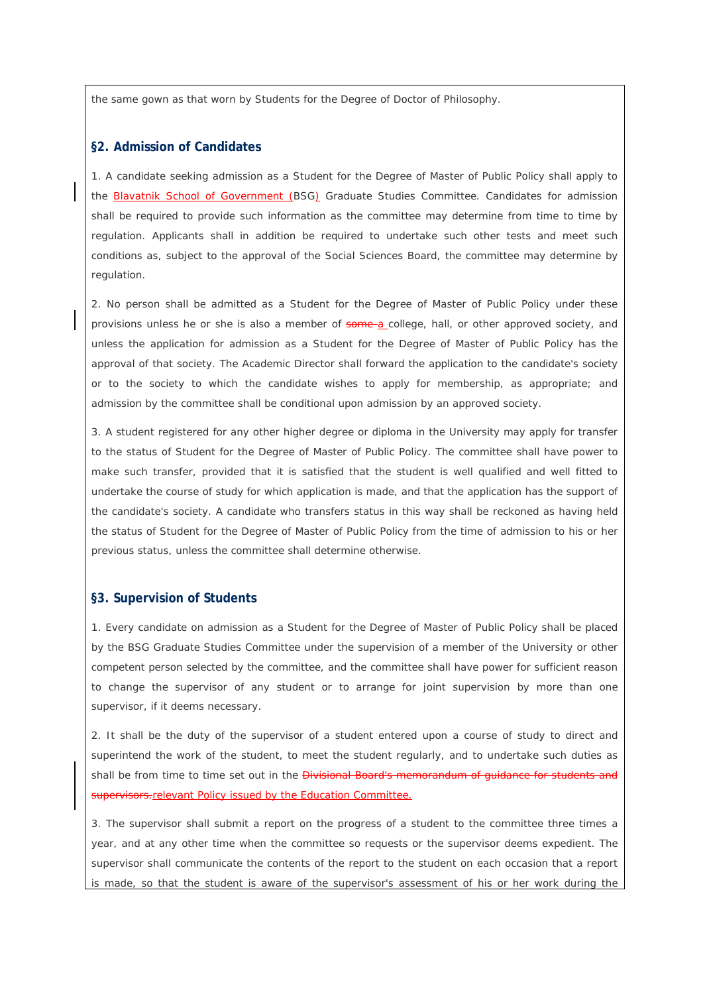the same gown as that worn by Students for the Degree of Doctor of Philosophy.

#### **§2. Admission of Candidates**

1. A candidate seeking admission as a Student for the Degree of Master of Public Policy shall apply to the **Blavatnik School of Government (BSG)** Graduate Studies Committee. Candidates for admission shall be required to provide such information as the committee may determine from time to time by regulation. Applicants shall in addition be required to undertake such other tests and meet such conditions as, subject to the approval of the Social Sciences Board, the committee may determine by regulation.

2. No person shall be admitted as a Student for the Degree of Master of Public Policy under these provisions unless he or she is also a member of some-a college, hall, or other approved society, and unless the application for admission as a Student for the Degree of Master of Public Policy has the approval of that society. The Academic Director shall forward the application to the candidate's society or to the society to which the candidate wishes to apply for membership, as appropriate; and admission by the committee shall be conditional upon admission by an approved society.

3. A student registered for any other higher degree or diploma in the University may apply for transfer to the status of Student for the Degree of Master of Public Policy. The committee shall have power to make such transfer, provided that it is satisfied that the student is well qualified and well fitted to undertake the course of study for which application is made, and that the application has the support of the candidate's society. A candidate who transfers status in this way shall be reckoned as having held the status of Student for the Degree of Master of Public Policy from the time of admission to his or her previous status, unless the committee shall determine otherwise.

### **§3. Supervision of Students**

1. Every candidate on admission as a Student for the Degree of Master of Public Policy shall be placed by the BSG Graduate Studies Committee under the supervision of a member of the University or other competent person selected by the committee, and the committee shall have power for sufficient reason to change the supervisor of any student or to arrange for joint supervision by more than one supervisor, if it deems necessary.

2. It shall be the duty of the supervisor of a student entered upon a course of study to direct and superintend the work of the student, to meet the student regularly, and to undertake such duties as shall be from time to time set out in the Divisional Board's memorandum of quidance for students and supervisors.relevant Policy issued by the Education Committee.

3. The supervisor shall submit a report on the progress of a student to the committee three times a year, and at any other time when the committee so requests or the supervisor deems expedient. The supervisor shall communicate the contents of the report to the student on each occasion that a report is made, so that the student is aware of the supervisor's assessment of his or her work during the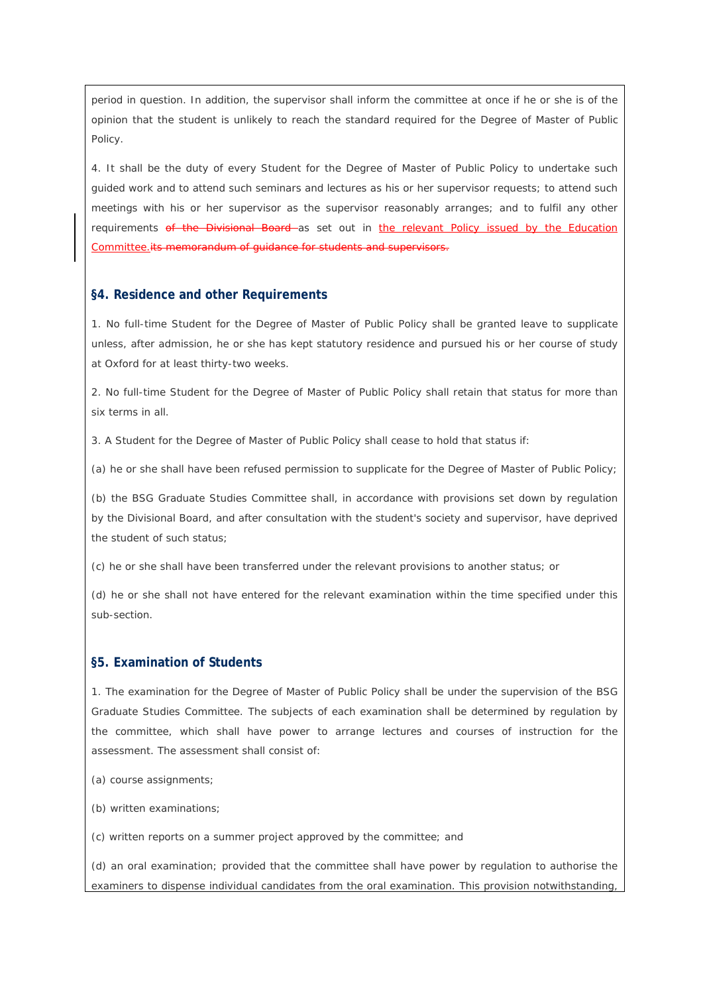period in question. In addition, the supervisor shall inform the committee at once if he or she is of the opinion that the student is unlikely to reach the standard required for the Degree of Master of Public Policy.

4. It shall be the duty of every Student for the Degree of Master of Public Policy to undertake such guided work and to attend such seminars and lectures as his or her supervisor requests; to attend such meetings with his or her supervisor as the supervisor reasonably arranges; and to fulfil any other requirements of the Divisional Board as set out in the relevant Policy issued by the Education Committee.its memorandum of guidance for students and supervisors.

#### **§4. Residence and other Requirements**

1. No full-time Student for the Degree of Master of Public Policy shall be granted leave to supplicate unless, after admission, he or she has kept statutory residence and pursued his or her course of study at Oxford for at least thirty-two weeks.

2. No full-time Student for the Degree of Master of Public Policy shall retain that status for more than six terms in all.

3. A Student for the Degree of Master of Public Policy shall cease to hold that status if:

(*a*) he or she shall have been refused permission to supplicate for the Degree of Master of Public Policy;

(*b*) the BSG Graduate Studies Committee shall, in accordance with provisions set down by regulation by the Divisional Board, and after consultation with the student's society and supervisor, have deprived the student of such status;

(*c*) he or she shall have been transferred under the relevant provisions to another status; or

(*d*) he or she shall not have entered for the relevant examination within the time specified under this sub-section.

#### **§5. Examination of Students**

1. The examination for the Degree of Master of Public Policy shall be under the supervision of the BSG Graduate Studies Committee. The subjects of each examination shall be determined by regulation by the committee, which shall have power to arrange lectures and courses of instruction for the assessment. The assessment shall consist of:

(*a)* course assignments;

(*b*) written examinations;

(*c*) written reports on a summer project approved by the committee; and

(*d*) an oral examination; provided that the committee shall have power by regulation to authorise the examiners to dispense individual candidates from the oral examination. This provision notwithstanding,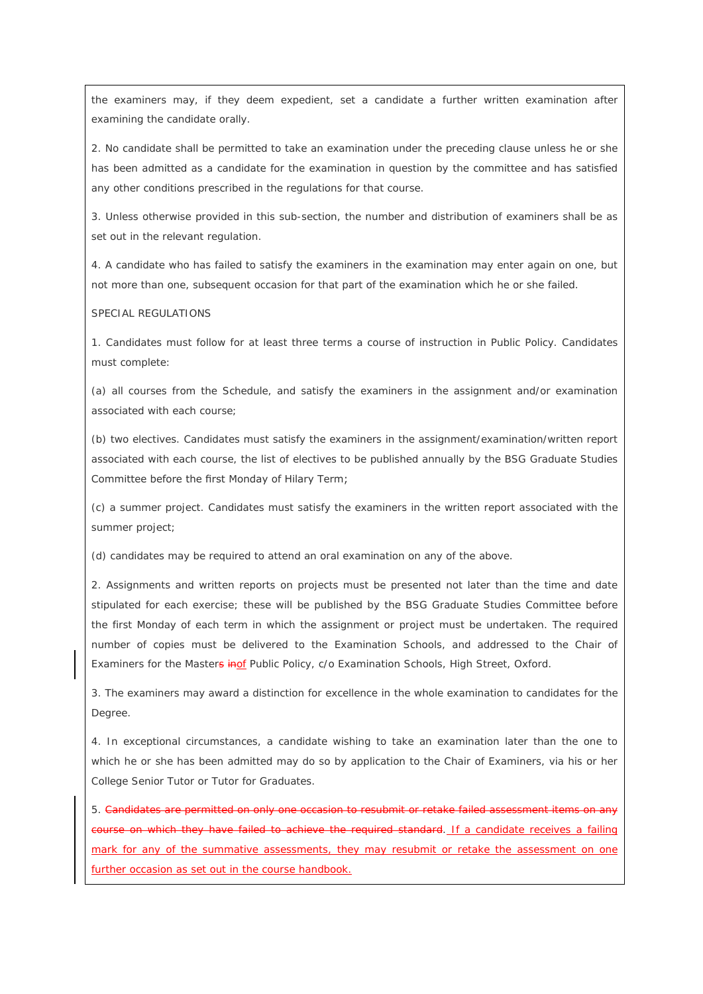the examiners may, if they deem expedient, set a candidate a further written examination after examining the candidate orally.

2. No candidate shall be permitted to take an examination under the preceding clause unless he or she has been admitted as a candidate for the examination in question by the committee and has satisfied any other conditions prescribed in the regulations for that course.

3. Unless otherwise provided in this sub-section, the number and distribution of examiners shall be as set out in the relevant regulation.

4. A candidate who has failed to satisfy the examiners in the examination may enter again on one, but not more than one, subsequent occasion for that part of the examination which he or she failed.

#### SPECIAL REGULATIONS

1. Candidates must follow for at least three terms a course of instruction in Public Policy. Candidates must complete:

(*a*) all courses from the Schedule, and satisfy the examiners in the assignment and/or examination associated with each course;

(*b*) two electives. Candidates must satisfy the examiners in the assignment/examination/written report associated with each course, the list of electives to be published annually by the BSG Graduate Studies Committee before the first Monday of Hilary Term;

(*c*) a summer project. Candidates must satisfy the examiners in the written report associated with the summer project;

(*d*) candidates may be required to attend an oral examination on any of the above.

2. Assignments and written reports on projects must be presented not later than the time and date stipulated for each exercise; these will be published by the BSG Graduate Studies Committee before the first Monday of each term in which the assignment or project must be undertaken. The required number of copies must be delivered to the Examination Schools, and addressed to the Chair of Examiners for the Masters inof Public Policy, c/o Examination Schools, High Street, Oxford.

3. The examiners may award a distinction for excellence in the whole examination to candidates for the Degree.

4. In exceptional circumstances, a candidate wishing to take an examination later than the one to which he or she has been admitted may do so by application to the Chair of Examiners, via his or her College Senior Tutor or Tutor for Graduates.

5. Candidates are permitted on only one occasion to resubmit or retake failed assessment items on any on which they have failed to achieve the required standard. If a candidate receives a failing mark for any of the summative assessments, they may resubmit or retake the assessment on one further occasion as set out in the course handbook.